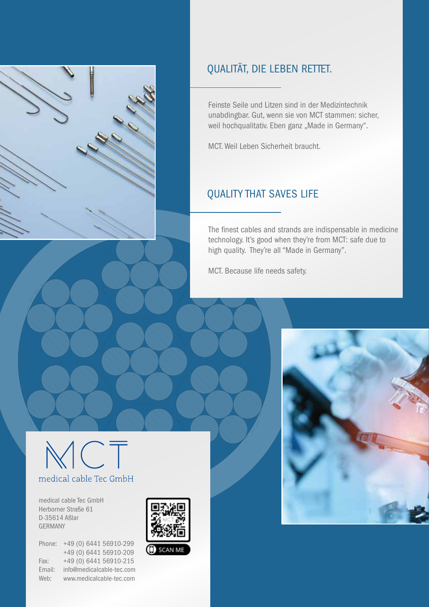

# QUALITÄT, DIE LEBEN RETTET.

Feinste Seile und Litzen sind in der Medizintechnik unabdingbar. Gut, wenn sie von MCT stammen: sicher, weil hochqualitativ. Eben ganz "Made in Germany".

MCT. Weil Leben Sicherheit braucht.

# QUALITY THAT SAVES LIFE

The finest cables and strands are indispensable in medicine technology. It's good when they're from MCT: safe due to high quality. They're all "Made in Germany".

MCT. Because life needs safety.



medical cable Tec GmbH Herborner Straße 61 D-35614 Aßlar GERMANY

Phone: +49 (0) 6441 56910-299 +49 (0) 6441 56910-209 Fax: +49 (0) 6441 56910-215 Email: info@medicalcable-tec.com Web: www.medicalcable-tec.com



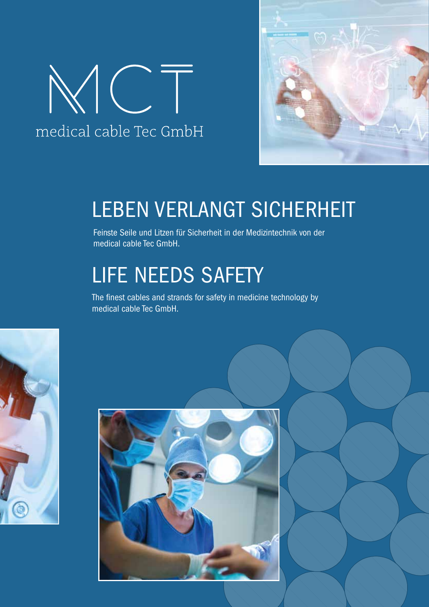



# LEBEN VERLANGT SICHERHEIT

Feinste Seile und Litzen für Sicherheit in der Medizintechnik von der medical cable Tec GmbH.

# LIFE NEEDS SAFETY

The finest cables and strands for safety in medicine technology by medical cable Tec GmbH.



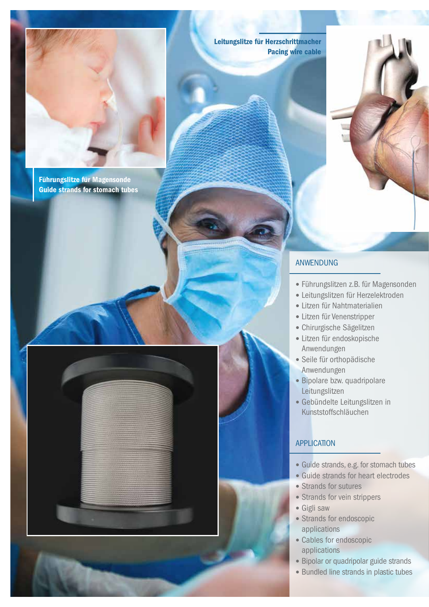

Führungslitze für Magensonde Guide strands for stomach tubes Leitungslitze für Herzschrittmacher Pacing wire cable

#### ANWENDUNG

- Führungslitzen z.B. für Magensonden
- Leitungslitzen für Herzelektroden
- Litzen für Nahtmaterialien
- Litzen für Venenstripper
- Chirurgische Sägelitzen
- Litzen für endoskopische Anwendungen
- Seile für orthopädische Anwendungen
- Bipolare bzw. quadripolare Leitungslitzen
- Gebündelte Leitungslitzen in Kunststoffschläuchen

#### **APPLICATION**

- Guide strands, e.g. for stomach tubes
- Guide strands for heart electrodes
- Strands for sutures
- Strands for vein strippers
- Gigli saw
- Strands for endoscopic applications
- Cables for endoscopic applications
- Bipolar or quadripolar guide strands
- Bundled line strands in plastic tubes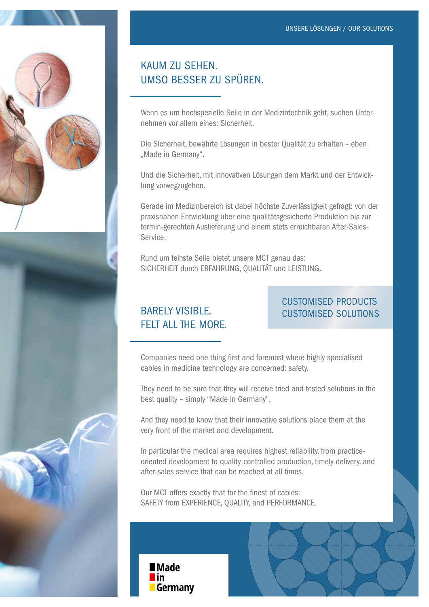

## KAUM ZU SEHEN. UMSO BESSER ZU SPÜREN.

Wenn es um hochspezielle Seile in der Medizintechnik geht, suchen Unternehmen vor allem eines: Sicherheit.

Die Sicherheit, bewährte Lösungen in bester Qualität zu erhalten – eben "Made in Germany".

Und die Sicherheit, mit innovativen Lösungen dem Markt und der Entwicklung vorwegzugehen.

Gerade im Medizinbereich ist dabei höchste Zuverlässigkeit gefragt: von der praxisnahen Entwicklung über eine qualitätsgesicherte Produktion bis zur termin-gerechten Auslieferung und einem stets erreichbaren After-Sales-Service.

Rund um feinste Seile bietet unsere MCT genau das: SICHERHEIT durch ERFAHRUNG, QUALITÄT und LEISTUNG.

## BARELY VISIBLE. FELT ALL THE MORE.

### CUSTOMISED PRODUCTS CUSTOMISED SOLUTIONS

Companies need one thing first and foremost where highly specialised cables in medicine technology are concerned: safety.

They need to be sure that they will receive tried and tested solutions in the best quality – simply "Made in Germany".

And they need to know that their innovative solutions place them at the very front of the market and development.

In particular the medical area requires highest reliability, from practiceoriented development to quality-controlled production, timely delivery, and after-sales service that can be reached at all times.

Our MCT offers exactly that for the finest of cables: SAFETY from EXPERIENCE, QUALITY, and PERFORMANCE.

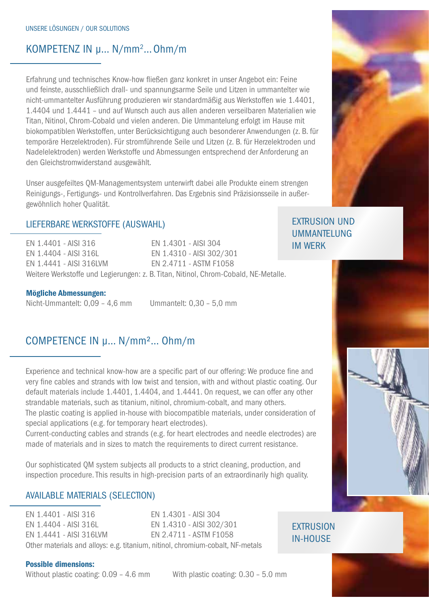## KOMPETENZ IN µ... N/mm<sup>2</sup>... Ohm/m

Erfahrung und technisches Know-how fließen ganz konkret in unser Angebot ein: Feine und feinste, ausschließlich drall- und spannungsarme Seile und Litzen in ummantelter wie nicht-ummantelter Ausführung produzieren wir standardmäßig aus Werkstoffen wie 1.4401, 1.4404 und 1.4441 – und auf Wunsch auch aus allen anderen verseilbaren Materialien wie Titan, Nitinol, Chrom-Cobald und vielen anderen. Die Ummantelung erfolgt im Hause mit biokompatiblen Werkstoffen, unter Berücksichtigung auch besonderer Anwendungen (z. B. für temporäre Herzelektroden). Für stromführende Seile und Litzen (z. B. für Herzelektroden und Nadelelektroden) werden Werkstoffe und Abmessungen entsprechend der Anforderung an den Gleichstromwiderstand ausgewählt.

Unser ausgefeiltes QM-Managementsystem unterwirft dabei alle Produkte einem strengen Reinigungs-, Fertigungs- und Kontrollverfahren. Das Ergebnis sind Präzisionsseile in außergewöhnlich hoher Qualität.

#### LIEFERBARE WERKSTOFFE (AUSWAHL)

EN 1.4401 - AISI 316 EN 1.4301 - AISI 304 EN 1.4404 - AISI 316L EN 1.4310 - AISI 302/301 EN 1.4441 - AISI 316LVM EN 2.4711 - ASTM F1058 Weitere Werkstoffe und Legierungen: z. B. Titan, Nitinol, Chrom-Cobald, NE-Metalle.

Mögliche Abmessungen:

Nicht-Ummantelt: 0,09 – 4,6 mm Ummantelt: 0,30 – 5,0 mm

### COMPETENCE IN µ… N/mm²… Ohm/m

Experience and technical know-how are a specific part of our offering: We produce fine and very fine cables and strands with low twist and tension, with and without plastic coating. Our default materials include 1.4401, 1.4404, and 1.4441. On request, we can offer any other strandable materials, such as titanium, nitinol, chromium-cobalt, and many others. The plastic coating is applied in-house with biocompatible materials, under consideration of special applications (e.g. for temporary heart electrodes).

Current-conducting cables and strands (e.g. for heart electrodes and needle electrodes) are made of materials and in sizes to match the requirements to direct current resistance.

Our sophisticated QM system subjects all products to a strict cleaning, production, and inspection procedure. This results in high-precision parts of an extraordinarily high quality.

#### AVAILABLE MATERIALS (SELECTION)

EN 1.4401 - AISI 316 EN 1.4301 - AISI 304 EN 1.4404 - AISI 316L EN 1.4310 - AISI 302/301 EN 1.4441 - AISI 316LVM EN 2.4711 - ASTM F1058 Other materials and alloys: e.g. titanium, nitinol, chromium-cobalt, NF-metals

#### Possible dimensions:

Without plastic coating:  $0.09 - 4.6$  mm With plastic coating:  $0.30 - 5.0$  mm



**EXTRUSION** IN-HOUSE

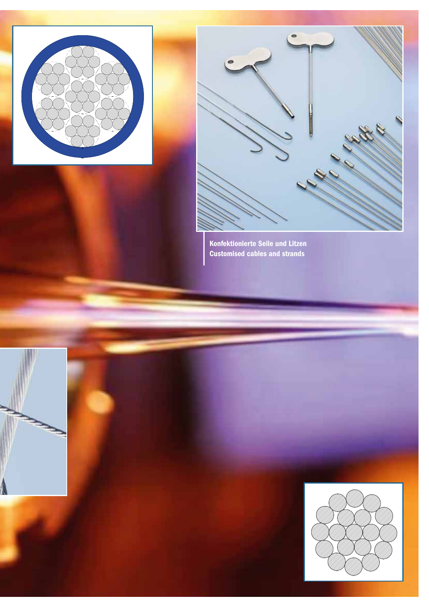



Konfektionierte Seile und Litzen Customised cables and strands



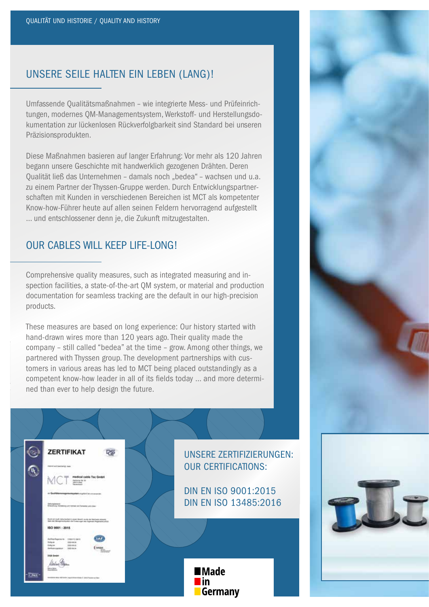### UNSERE SEILE HALTEN EIN LEBEN (LANG)!

Umfassende Qualitätsmaßnahmen – wie integrierte Mess- und Prüfeinrichtungen, modernes QM-Managementsystem, Werkstoff- und Herstellungsdokumentation zur lückenlosen Rückverfolgbarkeit sind Standard bei unseren Präzisionsprodukten.

Diese Maßnahmen basieren auf langer Erfahrung: Vor mehr als 120 Jahren begann unsere Geschichte mit handwerklich gezogenen Drähten. Deren Qualität ließ das Unternehmen - damals noch "bedea" - wachsen und u.a. zu einem Partner der Thyssen-Gruppe werden. Durch Entwicklungspartnerschaften mit Kunden in verschiedenen Bereichen ist MCT als kompetenter Know-how-Führer heute auf allen seinen Feldern hervorragend aufgestellt … und entschlossener denn je, die Zukunft mitzugestalten.

#### OUR CABLES WILL KEEP LIFE-LONG!

Comprehensive quality measures, such as integrated measuring and inspection facilities, a state-of-the-art QM system, or material and production documentation for seamless tracking are the default in our high-precision products.

These measures are based on long experience: Our history started with hand-drawn wires more than 120 years ago. Their quality made the company – still called "bedea" at the time – grow. Among other things, we partnered with Thyssen group. The development partnerships with customers in various areas has led to MCT being placed outstandingly as a competent know-how leader in all of its fields today … and more determined than ever to help design the future.



UNSERE ZERTIFIZIERUNGEN: OUR CERTIFICATIONS:

DIN EN ISO 9001:2015 DIN EN ISO 13485:2016

> **■Made** <u>lin</u> **Germany**